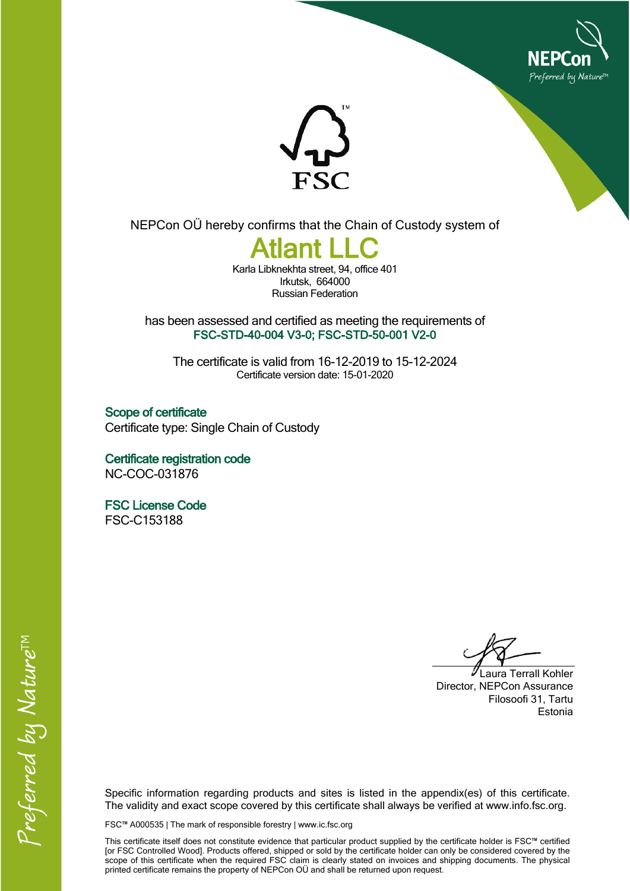



NEPCon OÜ hereby confirms that the Chain of Custody system of

## **Atlant LLC**

Karla Libknekhta street, 94, office 401 Irkutsk, 664000 Russian Federation

has been assessed and certified as meeting the requirements of **FSC-STD-40-004 V3-0; FSC-STD-50-001 V2-0**

The certificate is valid from 16-12-2019 to 15-12-2024 Certificate version date: 15-01-2020

**Scope of certificate** Certificate type: Single Chain of Custody

**Certificate registration code** NC-COC-031876

**FSC License Code** FSC-C153188

Laura Terrall Kohler Director, NEPCon Assurance Filosoofi 31, Tartu Estonia

Specific information regarding products and sites is listed in the appendix(es) of this certificate. The validity and exact scope covered by this certificate shall always be verified at www.info.fsc.org.

FSC™ A000535 | The mark of responsible forestry | www.ic.fsc.org

This certificate itself does not constitute evidence that particular product supplied by the certificate holder is FSC™ certified [or FSC Controlled Wood]. Products offered, shipped or sold by the certificate holder can only be considered covered by the scope of this certificate when the required FSC claim is clearly stated on invoices and shipping documents. The physical printed certificate remains the property of NEPCon OÜ and shall be returned upon request.